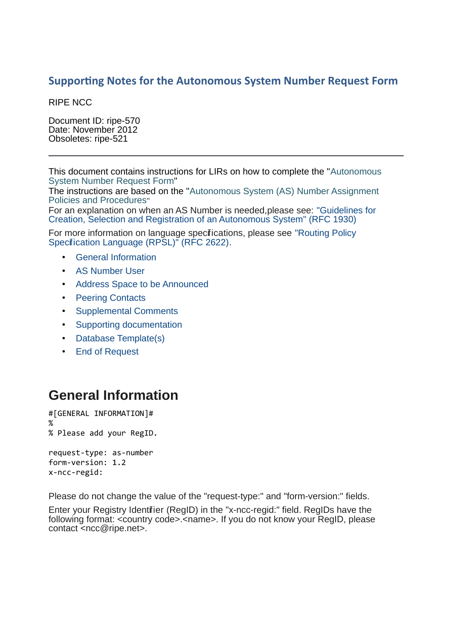#### **Supporting Notes for the Autonomous System Number Request Form**

RIPE NCC

Document ID: ripe-570 Date: November 2012 Obsoletes: ripe-521

This document contains instructions for LIRs on how to complete the ["Autonomous](http://www.ripe.net/ripe/docs/as-request.html) [System Number Request Form"](http://www.ripe.net/ripe/docs/as-request.html)

The instructions are based on the ["Autonomous System \(AS\) Number Assignment](http://www.ripe.net/ripe/docs/asn-assignment) [Policies and Procedures](http://www.ripe.net/ripe/docs/asn-assignment)"

For an explanation on when an AS Number is needed,please see: ["Guidelines for](ftp://ftp.ripe.net/rfc/rfc1930.txt) [Creation, Selection and Registration of an Autonomous System" \(RFC 1930\)](ftp://ftp.ripe.net/rfc/rfc1930.txt)

For more information on language specifications, please see ["Routing Policy](ftp://ftp.ripe.net/rfc/rfc2622.txt) Specification Language (RPSL)<sup>"</sup> (RFC 2622).

- General Information
- AS Number User
- Address Space to be Announced
- Peering Contacts
- Supplemental Comments
- Supporting documentation
- Database Template(s)
- End of Request

#### **General Information**

```
#[GENERAL INFORMATION]#
%
% Please add your RegID.
request-type: as-number
form-version: 1.2
x-ncc-regid:
```
Please do not change the value of the "request-type:" and "form-version:" fields.

Enter your Registry Identifier (RegID) in the "x-ncc-regid:" field. RegIDs have the following format: <country code>.<name>. If you do not know your RegID, please contact <ncc@ripe.net>.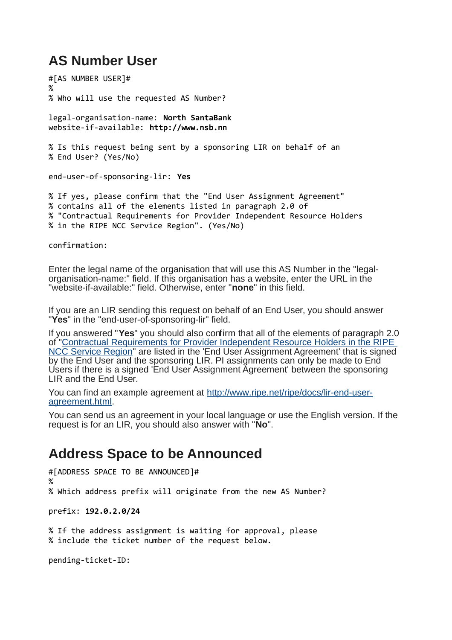## **AS Number User**

#[AS NUMBER USER]# % % Who will use the requested AS Number?

legal-organisation-name: **North SantaBank** website-if-available: **http://www.nsb.nn** 

% Is this request being sent by a sponsoring LIR on behalf of an % End User? (Yes/No)

end-user-of-sponsoring-lir: **Yes**

% If yes, please confirm that the "End User Assignment Agreement" % contains all of the elements listed in paragraph 2.0 of % "Contractual Requirements for Provider Independent Resource Holders % in the RIPE NCC Service Region". (Yes/No)

confirmation:

Enter the legal name of the organisation that will use this AS Number in the "legalorganisation-name:" field. If this organisation has a website, enter the URL in the "website-if-available:" field. Otherwise, enter "**none**" in this field.

If you are an LIR sending this request on behalf of an End User, you should answer "**Yes**" in the "end-user-of-sponsoring-lir" field.

If you answered "**Yes**" you should also confirm that all of the elements of paragraph 2.0 of ["Contractual Requirements for Provider Independent Resource Holders in the RIPE](http://www.ripe.net/ripe/docs/resolveuid/b4db2a127586d02986acbcc4f1cf8651) [NCC Service Region"](http://www.ripe.net/ripe/docs/resolveuid/b4db2a127586d02986acbcc4f1cf8651) are listed in the 'End User Assignment Agreement' that is signed by the End User and the sponsoring LIR. PI assignments can only be made to End Users if there is a signed 'End User Assignment Agreement' between the sponsoring LIR and the End User.

You can find an example agreement at [http://www.ripe.net/ripe/docs/lir-end-user](http://www.ripe.net/ripe/docs/resolveuid/391df1203f5f7d0cf5f62b4d65424e23)[agreement.html.](http://www.ripe.net/ripe/docs/resolveuid/391df1203f5f7d0cf5f62b4d65424e23)

You can send us an agreement in your local language or use the English version. If the request is for an LIR, you should also answer with "**No**".

#### **Address Space to be Announced**

#[ADDRESS SPACE TO BE ANNOUNCED]# % % Which address prefix will originate from the new AS Number? prefix: **192.0.2.0/24** % If the address assignment is waiting for approval, please % include the ticket number of the request below.

pending-ticket-ID: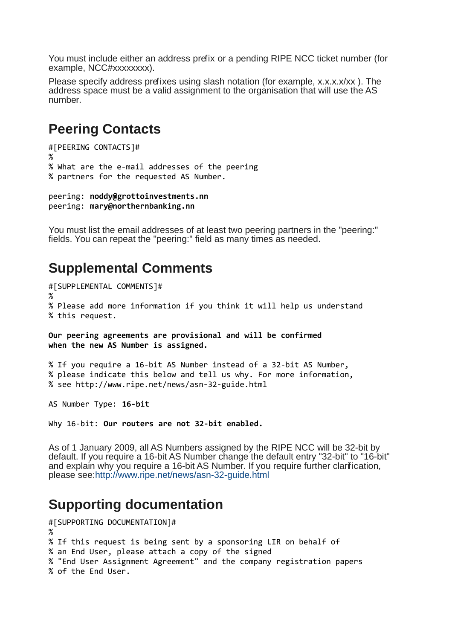You must include either an address prefix or a pending RIPE NCC ticket number (for example, NCC#xxxxxxxxx).

Please specify address prefixes using slash notation (for example, x.x.x.x/xx ). The address space must be a valid assignment to the organisation that will use the AS number.

## **Peering Contacts**

```
#[PEERING CONTACTS]#
%
% What are the e-mail addresses of the peering
% partners for the requested AS Number.
```

```
peering: noddy@grottoinvestments.nn
peering: mary@northernbanking.nn
```
You must list the email addresses of at least two peering partners in the "peering:" fields. You can repeat the "peering:" field as many times as needed.

#### **Supplemental Comments**

```
#[SUPPLEMENTAL COMMENTS]#
%
% Please add more information if you think it will help us understand 
% this request.
Our peering agreements are provisional and will be confirmed
when the new AS Number is assigned.
```
% If you require a 16-bit AS Number instead of a 32-bit AS Number, % please indicate this below and tell us why. For more information, % see http://www.ripe.net/news/asn-32-guide.html

AS Number Type: **16-bit**

Why 16-bit: **Our routers are not 32-bit enabled.**

As of 1 January 2009, all AS Numbers assigned by the RIPE NCC will be 32-bit by default. If you require a 16-bit AS Number change the default entry "32-bit" to "16-bit" and explain why you require a 16-bit AS Number. If you require further clarification, please see[:http://www.ripe.net/news/asn-32-guide.html](http://www.ripe.net/ripe/docs/resolveuid/339580b64ca9bd4b6441dd8463171f70)

#### **Supporting documentation**

```
#[SUPPORTING DOCUMENTATION]#
%
% If this request is being sent by a sponsoring LIR on behalf of 
% an End User, please attach a copy of the signed 
% "End User Assignment Agreement" and the company registration papers 
% of the End User.
```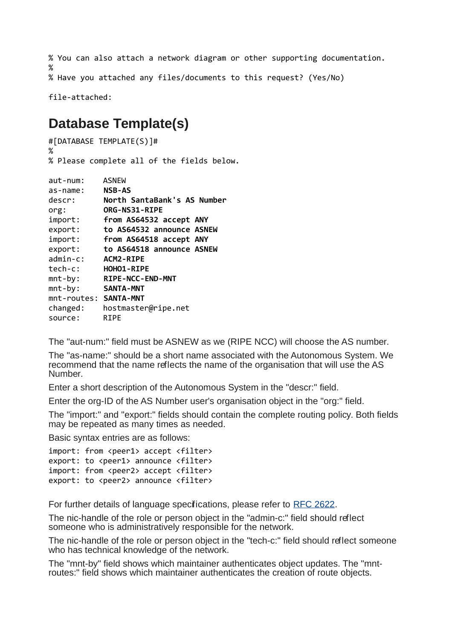```
% You can also attach a network diagram or other supporting documentation.
%
% Have you attached any files/documents to this request? (Yes/No)
```
file-attached:

# **Database Template(s)**

```
#[DATABASE TEMPLATE(S)]#
%
% Please complete all of the fields below.
aut-num: ASNEW
as-name: NSB-AS
descr: North SantaBank's AS Number
org: ORG-NS31-RIPE
import: from AS64532 accept ANY
export: to AS64532 announce ASNEW
import: from AS64518 accept ANY
export: to AS64518 announce ASNEW
admin-c: ACM2-RIPE
tech-c: HOHO1-RIPE
mnt-by: RIPE-NCC-END-MNT
mnt-by: SANTA-MNT
mnt-routes: SANTA-MNT
```
The "aut-num:" field must be ASNEW as we (RIPE NCC) will choose the AS number.

The "as-name:" should be a short name associated with the Autonomous System. We recommend that the name reflects the name of the organisation that will use the AS Number.

Enter a short description of the Autonomous System in the "descr:" field.

Enter the org-ID of the AS Number user's organisation object in the "org:" field.

The "import:" and "export:" fields should contain the complete routing policy. Both fields may be repeated as many times as needed.

Basic syntax entries are as follows:

changed: hostmaster@ripe.net

source: RIPE

import: from <peer1> accept <filter> export: to <peer1> announce <filter> import: from <peer2> accept <filter> export: to <peer2> announce <filter>

For further details of language specifications, please refer to [RFC 2622.](ftp://ftp.ripe.net/rfc/rfc2622.txt)

The nic-handle of the role or person object in the "admin-c:" field should reflect someone who is administratively responsible for the network.

The nic-handle of the role or person object in the "tech-c:" field should reflect someone who has technical knowledge of the network.

The "mnt-by" field shows which maintainer authenticates object updates. The "mntroutes:" field shows which maintainer authenticates the creation of route objects.